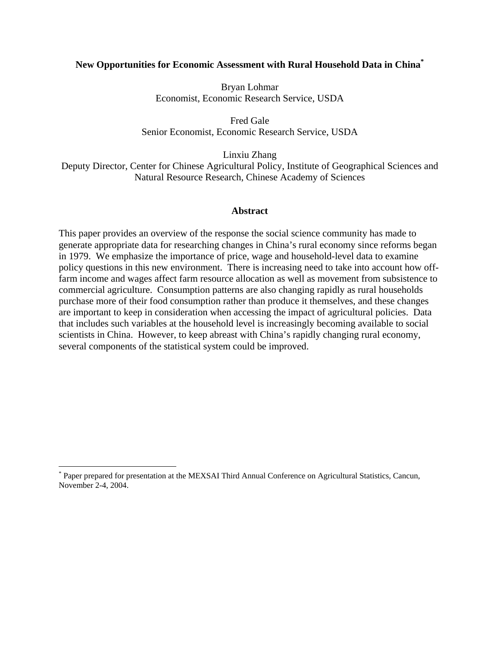## **New Opportunities for Economic Assessment with Rural Household Data in China\***

Bryan Lohmar Economist, Economic Research Service, USDA

Fred Gale Senior Economist, Economic Research Service, USDA

Linxiu Zhang Deputy Director, Center for Chinese Agricultural Policy, Institute of Geographical Sciences and Natural Resource Research, Chinese Academy of Sciences

#### **Abstract**

This paper provides an overview of the response the social science community has made to generate appropriate data for researching changes in China's rural economy since reforms began in 1979. We emphasize the importance of price, wage and household-level data to examine policy questions in this new environment. There is increasing need to take into account how offfarm income and wages affect farm resource allocation as well as movement from subsistence to commercial agriculture. Consumption patterns are also changing rapidly as rural households purchase more of their food consumption rather than produce it themselves, and these changes are important to keep in consideration when accessing the impact of agricultural policies. Data that includes such variables at the household level is increasingly becoming available to social scientists in China. However, to keep abreast with China's rapidly changing rural economy, several components of the statistical system could be improved.

1

<sup>\*</sup> Paper prepared for presentation at the MEXSAI Third Annual Conference on Agricultural Statistics, Cancun, November 2-4, 2004.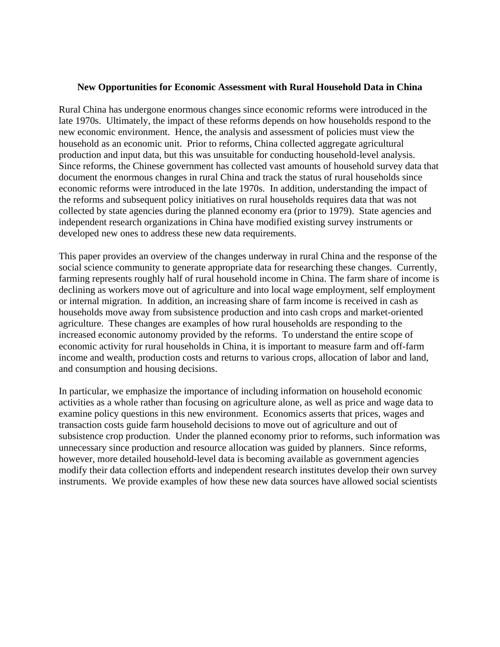### **New Opportunities for Economic Assessment with Rural Household Data in China**

Rural China has undergone enormous changes since economic reforms were introduced in the late 1970s. Ultimately, the impact of these reforms depends on how households respond to the new economic environment. Hence, the analysis and assessment of policies must view the household as an economic unit. Prior to reforms, China collected aggregate agricultural production and input data, but this was unsuitable for conducting household-level analysis. Since reforms, the Chinese government has collected vast amounts of household survey data that document the enormous changes in rural China and track the status of rural households since economic reforms were introduced in the late 1970s. In addition, understanding the impact of the reforms and subsequent policy initiatives on rural households requires data that was not collected by state agencies during the planned economy era (prior to 1979). State agencies and independent research organizations in China have modified existing survey instruments or developed new ones to address these new data requirements.

This paper provides an overview of the changes underway in rural China and the response of the social science community to generate appropriate data for researching these changes. Currently, farming represents roughly half of rural household income in China. The farm share of income is declining as workers move out of agriculture and into local wage employment, self employment or internal migration. In addition, an increasing share of farm income is received in cash as households move away from subsistence production and into cash crops and market-oriented agriculture. These changes are examples of how rural households are responding to the increased economic autonomy provided by the reforms. To understand the entire scope of economic activity for rural households in China, it is important to measure farm and off-farm income and wealth, production costs and returns to various crops, allocation of labor and land, and consumption and housing decisions.

In particular, we emphasize the importance of including information on household economic activities as a whole rather than focusing on agriculture alone, as well as price and wage data to examine policy questions in this new environment. Economics asserts that prices, wages and transaction costs guide farm household decisions to move out of agriculture and out of subsistence crop production. Under the planned economy prior to reforms, such information was unnecessary since production and resource allocation was guided by planners. Since reforms, however, more detailed household-level data is becoming available as government agencies modify their data collection efforts and independent research institutes develop their own survey instruments. We provide examples of how these new data sources have allowed social scientists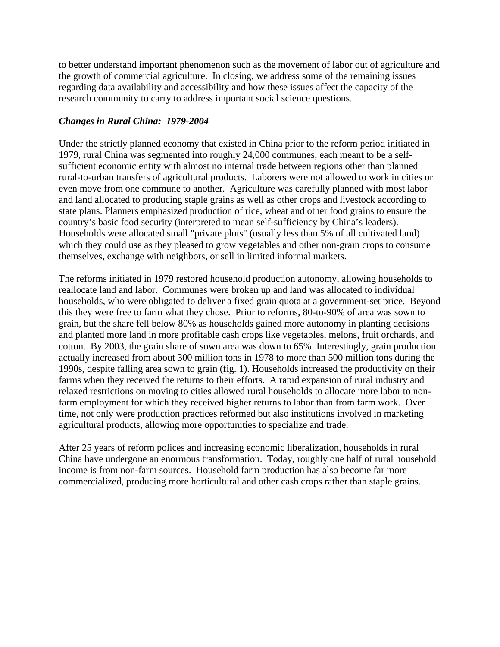to better understand important phenomenon such as the movement of labor out of agriculture and the growth of commercial agriculture. In closing, we address some of the remaining issues regarding data availability and accessibility and how these issues affect the capacity of the research community to carry to address important social science questions.

# *Changes in Rural China: 1979-2004*

Under the strictly planned economy that existed in China prior to the reform period initiated in 1979, rural China was segmented into roughly 24,000 communes, each meant to be a selfsufficient economic entity with almost no internal trade between regions other than planned rural-to-urban transfers of agricultural products. Laborers were not allowed to work in cities or even move from one commune to another. Agriculture was carefully planned with most labor and land allocated to producing staple grains as well as other crops and livestock according to state plans. Planners emphasized production of rice, wheat and other food grains to ensure the country's basic food security (interpreted to mean self-sufficiency by China's leaders). Households were allocated small "private plots" (usually less than 5% of all cultivated land) which they could use as they pleased to grow vegetables and other non-grain crops to consume themselves, exchange with neighbors, or sell in limited informal markets.

The reforms initiated in 1979 restored household production autonomy, allowing households to reallocate land and labor. Communes were broken up and land was allocated to individual households, who were obligated to deliver a fixed grain quota at a government-set price. Beyond this they were free to farm what they chose. Prior to reforms, 80-to-90% of area was sown to grain, but the share fell below 80% as households gained more autonomy in planting decisions and planted more land in more profitable cash crops like vegetables, melons, fruit orchards, and cotton. By 2003, the grain share of sown area was down to 65%. Interestingly, grain production actually increased from about 300 million tons in 1978 to more than 500 million tons during the 1990s, despite falling area sown to grain (fig. 1). Households increased the productivity on their farms when they received the returns to their efforts. A rapid expansion of rural industry and relaxed restrictions on moving to cities allowed rural households to allocate more labor to nonfarm employment for which they received higher returns to labor than from farm work. Over time, not only were production practices reformed but also institutions involved in marketing agricultural products, allowing more opportunities to specialize and trade.

After 25 years of reform polices and increasing economic liberalization, households in rural China have undergone an enormous transformation. Today, roughly one half of rural household income is from non-farm sources. Household farm production has also become far more commercialized, producing more horticultural and other cash crops rather than staple grains.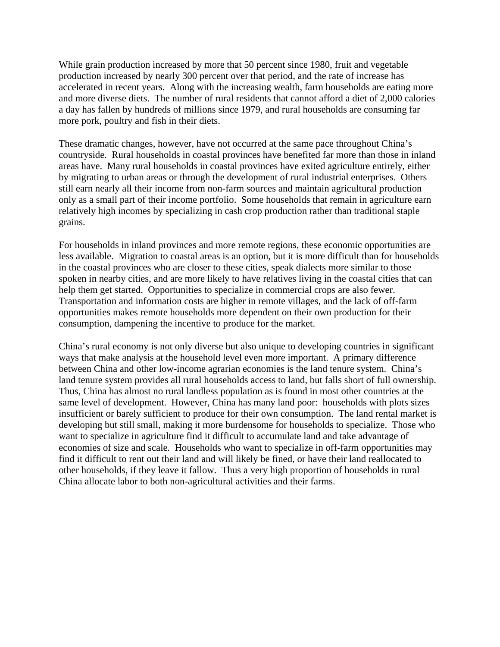While grain production increased by more that 50 percent since 1980, fruit and vegetable production increased by nearly 300 percent over that period, and the rate of increase has accelerated in recent years. Along with the increasing wealth, farm households are eating more and more diverse diets. The number of rural residents that cannot afford a diet of 2,000 calories a day has fallen by hundreds of millions since 1979, and rural households are consuming far more pork, poultry and fish in their diets.

These dramatic changes, however, have not occurred at the same pace throughout China's countryside. Rural households in coastal provinces have benefited far more than those in inland areas have. Many rural households in coastal provinces have exited agriculture entirely, either by migrating to urban areas or through the development of rural industrial enterprises. Others still earn nearly all their income from non-farm sources and maintain agricultural production only as a small part of their income portfolio. Some households that remain in agriculture earn relatively high incomes by specializing in cash crop production rather than traditional staple grains.

For households in inland provinces and more remote regions, these economic opportunities are less available. Migration to coastal areas is an option, but it is more difficult than for households in the coastal provinces who are closer to these cities, speak dialects more similar to those spoken in nearby cities, and are more likely to have relatives living in the coastal cities that can help them get started. Opportunities to specialize in commercial crops are also fewer. Transportation and information costs are higher in remote villages, and the lack of off-farm opportunities makes remote households more dependent on their own production for their consumption, dampening the incentive to produce for the market.

China's rural economy is not only diverse but also unique to developing countries in significant ways that make analysis at the household level even more important. A primary difference between China and other low-income agrarian economies is the land tenure system. China's land tenure system provides all rural households access to land, but falls short of full ownership. Thus, China has almost no rural landless population as is found in most other countries at the same level of development. However, China has many land poor: households with plots sizes insufficient or barely sufficient to produce for their own consumption. The land rental market is developing but still small, making it more burdensome for households to specialize. Those who want to specialize in agriculture find it difficult to accumulate land and take advantage of economies of size and scale. Households who want to specialize in off-farm opportunities may find it difficult to rent out their land and will likely be fined, or have their land reallocated to other households, if they leave it fallow. Thus a very high proportion of households in rural China allocate labor to both non-agricultural activities and their farms.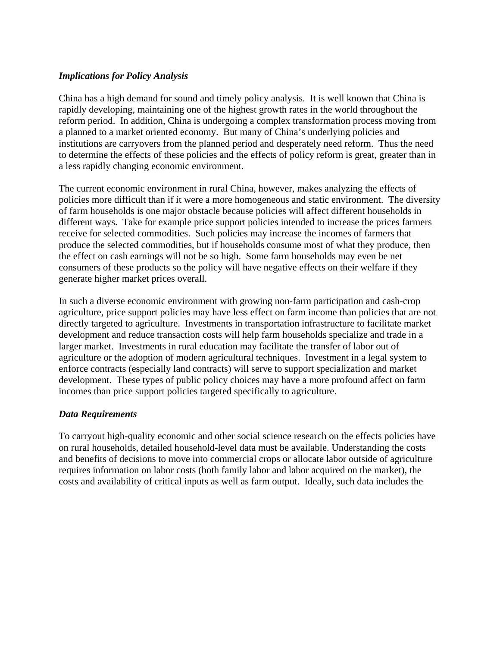## *Implications for Policy Analysis*

China has a high demand for sound and timely policy analysis. It is well known that China is rapidly developing, maintaining one of the highest growth rates in the world throughout the reform period. In addition, China is undergoing a complex transformation process moving from a planned to a market oriented economy. But many of China's underlying policies and institutions are carryovers from the planned period and desperately need reform. Thus the need to determine the effects of these policies and the effects of policy reform is great, greater than in a less rapidly changing economic environment.

The current economic environment in rural China, however, makes analyzing the effects of policies more difficult than if it were a more homogeneous and static environment. The diversity of farm households is one major obstacle because policies will affect different households in different ways. Take for example price support policies intended to increase the prices farmers receive for selected commodities. Such policies may increase the incomes of farmers that produce the selected commodities, but if households consume most of what they produce, then the effect on cash earnings will not be so high. Some farm households may even be net consumers of these products so the policy will have negative effects on their welfare if they generate higher market prices overall.

In such a diverse economic environment with growing non-farm participation and cash-crop agriculture, price support policies may have less effect on farm income than policies that are not directly targeted to agriculture. Investments in transportation infrastructure to facilitate market development and reduce transaction costs will help farm households specialize and trade in a larger market. Investments in rural education may facilitate the transfer of labor out of agriculture or the adoption of modern agricultural techniques. Investment in a legal system to enforce contracts (especially land contracts) will serve to support specialization and market development. These types of public policy choices may have a more profound affect on farm incomes than price support policies targeted specifically to agriculture.

## *Data Requirements*

To carryout high-quality economic and other social science research on the effects policies have on rural households, detailed household-level data must be available. Understanding the costs and benefits of decisions to move into commercial crops or allocate labor outside of agriculture requires information on labor costs (both family labor and labor acquired on the market), the costs and availability of critical inputs as well as farm output. Ideally, such data includes the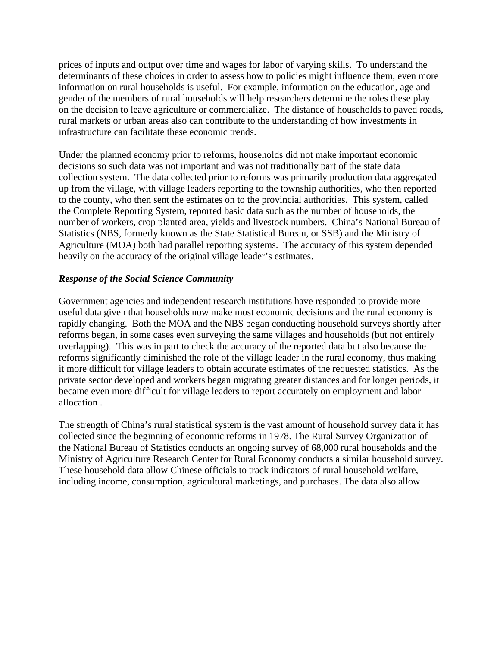prices of inputs and output over time and wages for labor of varying skills. To understand the determinants of these choices in order to assess how to policies might influence them, even more information on rural households is useful. For example, information on the education, age and gender of the members of rural households will help researchers determine the roles these play on the decision to leave agriculture or commercialize. The distance of households to paved roads, rural markets or urban areas also can contribute to the understanding of how investments in infrastructure can facilitate these economic trends.

Under the planned economy prior to reforms, households did not make important economic decisions so such data was not important and was not traditionally part of the state data collection system. The data collected prior to reforms was primarily production data aggregated up from the village, with village leaders reporting to the township authorities, who then reported to the county, who then sent the estimates on to the provincial authorities. This system, called the Complete Reporting System, reported basic data such as the number of households, the number of workers, crop planted area, yields and livestock numbers. China's National Bureau of Statistics (NBS, formerly known as the State Statistical Bureau, or SSB) and the Ministry of Agriculture (MOA) both had parallel reporting systems. The accuracy of this system depended heavily on the accuracy of the original village leader's estimates.

# *Response of the Social Science Community*

Government agencies and independent research institutions have responded to provide more useful data given that households now make most economic decisions and the rural economy is rapidly changing. Both the MOA and the NBS began conducting household surveys shortly after reforms began, in some cases even surveying the same villages and households (but not entirely overlapping). This was in part to check the accuracy of the reported data but also because the reforms significantly diminished the role of the village leader in the rural economy, thus making it more difficult for village leaders to obtain accurate estimates of the requested statistics. As the private sector developed and workers began migrating greater distances and for longer periods, it became even more difficult for village leaders to report accurately on employment and labor allocation .

The strength of China's rural statistical system is the vast amount of household survey data it has collected since the beginning of economic reforms in 1978. The Rural Survey Organization of the National Bureau of Statistics conducts an ongoing survey of 68,000 rural households and the Ministry of Agriculture Research Center for Rural Economy conducts a similar household survey. These household data allow Chinese officials to track indicators of rural household welfare, including income, consumption, agricultural marketings, and purchases. The data also allow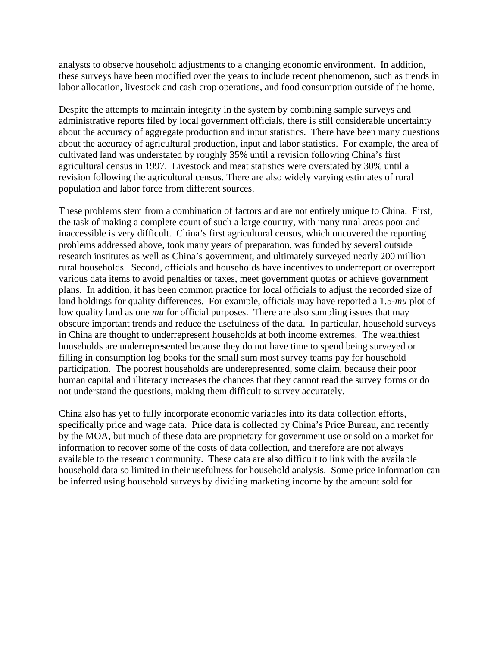analysts to observe household adjustments to a changing economic environment. In addition, these surveys have been modified over the years to include recent phenomenon, such as trends in labor allocation, livestock and cash crop operations, and food consumption outside of the home.

Despite the attempts to maintain integrity in the system by combining sample surveys and administrative reports filed by local government officials, there is still considerable uncertainty about the accuracy of aggregate production and input statistics. There have been many questions about the accuracy of agricultural production, input and labor statistics. For example, the area of cultivated land was understated by roughly 35% until a revision following China's first agricultural census in 1997. Livestock and meat statistics were overstated by 30% until a revision following the agricultural census. There are also widely varying estimates of rural population and labor force from different sources.

These problems stem from a combination of factors and are not entirely unique to China. First, the task of making a complete count of such a large country, with many rural areas poor and inaccessible is very difficult. China's first agricultural census, which uncovered the reporting problems addressed above, took many years of preparation, was funded by several outside research institutes as well as China's government, and ultimately surveyed nearly 200 million rural households. Second, officials and households have incentives to underreport or overreport various data items to avoid penalties or taxes, meet government quotas or achieve government plans. In addition, it has been common practice for local officials to adjust the recorded size of land holdings for quality differences. For example, officials may have reported a 1.5-*mu* plot of low quality land as one *mu* for official purposes. There are also sampling issues that may obscure important trends and reduce the usefulness of the data. In particular, household surveys in China are thought to underrepresent households at both income extremes. The wealthiest households are underrepresented because they do not have time to spend being surveyed or filling in consumption log books for the small sum most survey teams pay for household participation. The poorest households are underepresented, some claim, because their poor human capital and illiteracy increases the chances that they cannot read the survey forms or do not understand the questions, making them difficult to survey accurately.

China also has yet to fully incorporate economic variables into its data collection efforts, specifically price and wage data. Price data is collected by China's Price Bureau, and recently by the MOA, but much of these data are proprietary for government use or sold on a market for information to recover some of the costs of data collection, and therefore are not always available to the research community. These data are also difficult to link with the available household data so limited in their usefulness for household analysis. Some price information can be inferred using household surveys by dividing marketing income by the amount sold for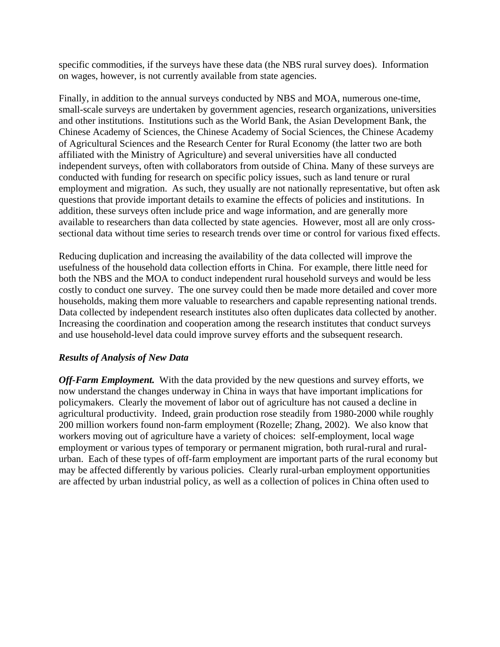specific commodities, if the surveys have these data (the NBS rural survey does). Information on wages, however, is not currently available from state agencies.

Finally, in addition to the annual surveys conducted by NBS and MOA, numerous one-time, small-scale surveys are undertaken by government agencies, research organizations, universities and other institutions. Institutions such as the World Bank, the Asian Development Bank, the Chinese Academy of Sciences, the Chinese Academy of Social Sciences, the Chinese Academy of Agricultural Sciences and the Research Center for Rural Economy (the latter two are both affiliated with the Ministry of Agriculture) and several universities have all conducted independent surveys, often with collaborators from outside of China. Many of these surveys are conducted with funding for research on specific policy issues, such as land tenure or rural employment and migration. As such, they usually are not nationally representative, but often ask questions that provide important details to examine the effects of policies and institutions. In addition, these surveys often include price and wage information, and are generally more available to researchers than data collected by state agencies. However, most all are only crosssectional data without time series to research trends over time or control for various fixed effects.

Reducing duplication and increasing the availability of the data collected will improve the usefulness of the household data collection efforts in China. For example, there little need for both the NBS and the MOA to conduct independent rural household surveys and would be less costly to conduct one survey. The one survey could then be made more detailed and cover more households, making them more valuable to researchers and capable representing national trends. Data collected by independent research institutes also often duplicates data collected by another. Increasing the coordination and cooperation among the research institutes that conduct surveys and use household-level data could improve survey efforts and the subsequent research.

## *Results of Analysis of New Data*

*Off-Farm Employment.* With the data provided by the new questions and survey efforts, we now understand the changes underway in China in ways that have important implications for policymakers. Clearly the movement of labor out of agriculture has not caused a decline in agricultural productivity. Indeed, grain production rose steadily from 1980-2000 while roughly 200 million workers found non-farm employment (Rozelle; Zhang, 2002). We also know that workers moving out of agriculture have a variety of choices: self-employment, local wage employment or various types of temporary or permanent migration, both rural-rural and ruralurban. Each of these types of off-farm employment are important parts of the rural economy but may be affected differently by various policies. Clearly rural-urban employment opportunities are affected by urban industrial policy, as well as a collection of polices in China often used to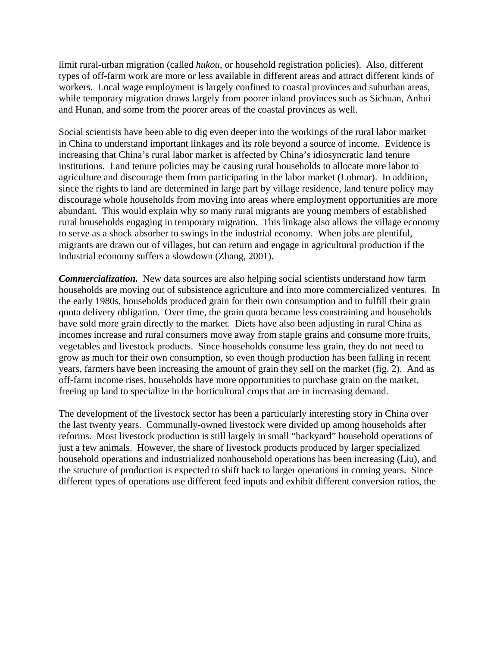limit rural-urban migration (called *hukou*, or household registration policies). Also, different types of off-farm work are more or less available in different areas and attract different kinds of workers. Local wage employment is largely confined to coastal provinces and suburban areas, while temporary migration draws largely from poorer inland provinces such as Sichuan, Anhui and Hunan, and some from the poorer areas of the coastal provinces as well.

Social scientists have been able to dig even deeper into the workings of the rural labor market in China to understand important linkages and its role beyond a source of income. Evidence is increasing that China's rural labor market is affected by China's idiosyncratic land tenure institutions. Land tenure policies may be causing rural households to allocate more labor to agriculture and discourage them from participating in the labor market (Lohmar). In addition, since the rights to land are determined in large part by village residence, land tenure policy may discourage whole households from moving into areas where employment opportunities are more abundant. This would explain why so many rural migrants are young members of established rural households engaging in temporary migration. This linkage also allows the village economy to serve as a shock absorber to swings in the industrial economy. When jobs are plentiful, migrants are drawn out of villages, but can return and engage in agricultural production if the industrial economy suffers a slowdown (Zhang, 2001).

*Commercialization.* New data sources are also helping social scientists understand how farm households are moving out of subsistence agriculture and into more commercialized ventures. In the early 1980s, households produced grain for their own consumption and to fulfill their grain quota delivery obligation. Over time, the grain quota became less constraining and households have sold more grain directly to the market. Diets have also been adjusting in rural China as incomes increase and rural consumers move away from staple grains and consume more fruits, vegetables and livestock products. Since households consume less grain, they do not need to grow as much for their own consumption, so even though production has been falling in recent years, farmers have been increasing the amount of grain they sell on the market (fig. 2). And as off-farm income rises, households have more opportunities to purchase grain on the market, freeing up land to specialize in the horticultural crops that are in increasing demand.

The development of the livestock sector has been a particularly interesting story in China over the last twenty years. Communally-owned livestock were divided up among households after reforms. Most livestock production is still largely in small "backyard" household operations of just a few animals. However, the share of livestock products produced by larger specialized household operations and industrialized nonhousehold operations has been increasing (Liu), and the structure of production is expected to shift back to larger operations in coming years. Since different types of operations use different feed inputs and exhibit different conversion ratios, the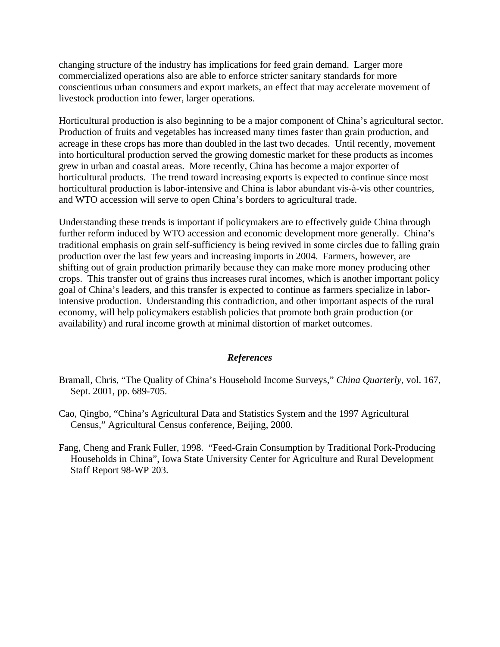changing structure of the industry has implications for feed grain demand. Larger more commercialized operations also are able to enforce stricter sanitary standards for more conscientious urban consumers and export markets, an effect that may accelerate movement of livestock production into fewer, larger operations.

Horticultural production is also beginning to be a major component of China's agricultural sector. Production of fruits and vegetables has increased many times faster than grain production, and acreage in these crops has more than doubled in the last two decades. Until recently, movement into horticultural production served the growing domestic market for these products as incomes grew in urban and coastal areas. More recently, China has become a major exporter of horticultural products. The trend toward increasing exports is expected to continue since most horticultural production is labor-intensive and China is labor abundant vis-à-vis other countries, and WTO accession will serve to open China's borders to agricultural trade.

Understanding these trends is important if policymakers are to effectively guide China through further reform induced by WTO accession and economic development more generally. China's traditional emphasis on grain self-sufficiency is being revived in some circles due to falling grain production over the last few years and increasing imports in 2004. Farmers, however, are shifting out of grain production primarily because they can make more money producing other crops. This transfer out of grains thus increases rural incomes, which is another important policy goal of China's leaders, and this transfer is expected to continue as farmers specialize in laborintensive production. Understanding this contradiction, and other important aspects of the rural economy, will help policymakers establish policies that promote both grain production (or availability) and rural income growth at minimal distortion of market outcomes.

## *References*

- Bramall, Chris, "The Quality of China's Household Income Surveys," *China Quarterly*, vol. 167, Sept. 2001, pp. 689-705.
- Cao, Qingbo, "China's Agricultural Data and Statistics System and the 1997 Agricultural Census," Agricultural Census conference, Beijing, 2000.
- Fang, Cheng and Frank Fuller, 1998. "Feed-Grain Consumption by Traditional Pork-Producing Households in China", Iowa State University Center for Agriculture and Rural Development Staff Report 98-WP 203.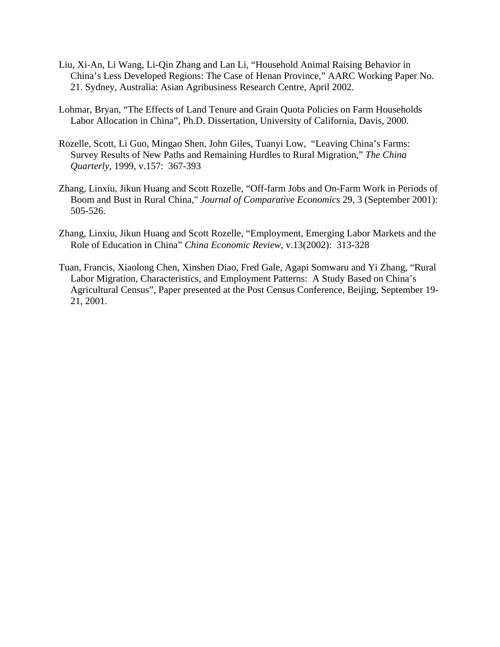- Liu, Xi-An, Li Wang, Li-Qin Zhang and Lan Li, "Household Animal Raising Behavior in China's Less Developed Regions: The Case of Henan Province," AARC Working Paper No. 21. Sydney, Australia: Asian Agribusiness Research Centre, April 2002.
- Lohmar, Bryan, "The Effects of Land Tenure and Grain Quota Policies on Farm Households Labor Allocation in China", Ph.D. Dissertation, University of California, Davis, 2000.
- Rozelle, Scott, Li Guo, Mingao Shen, John Giles, Tuanyi Low, "Leaving China's Farms: Survey Results of New Paths and Remaining Hurdles to Rural Migration," *The China Quarterly*, 1999, v.157: 367-393
- Zhang, Linxiu, Jikun Huang and Scott Rozelle, "Off-farm Jobs and On-Farm Work in Periods of Boom and Bust in Rural China," *Journal of Comparative Economics* 29, 3 (September 2001): 505-526.
- Zhang, Linxiu, Jikun Huang and Scott Rozelle, "Employment, Emerging Labor Markets and the Role of Education in China" *China Economic Review*, v.13(2002): 313-328
- Tuan, Francis, Xiaolong Chen, Xinshen Diao, Fred Gale, Agapi Somwaru and Yi Zhang, "Rural Labor Migration, Characteristics, and Employment Patterns: A Study Based on China's Agricultural Census", Paper presented at the Post Census Conference, Beijing, September 19- 21, 2001.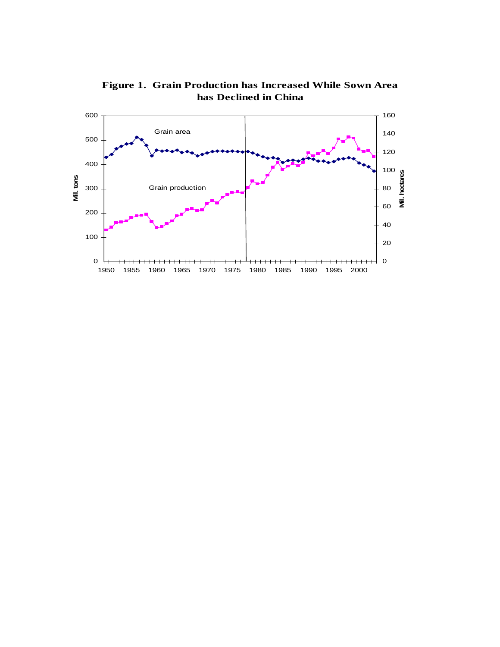

**Figure 1. Grain Production has Increased While Sown Area has Declined in China**